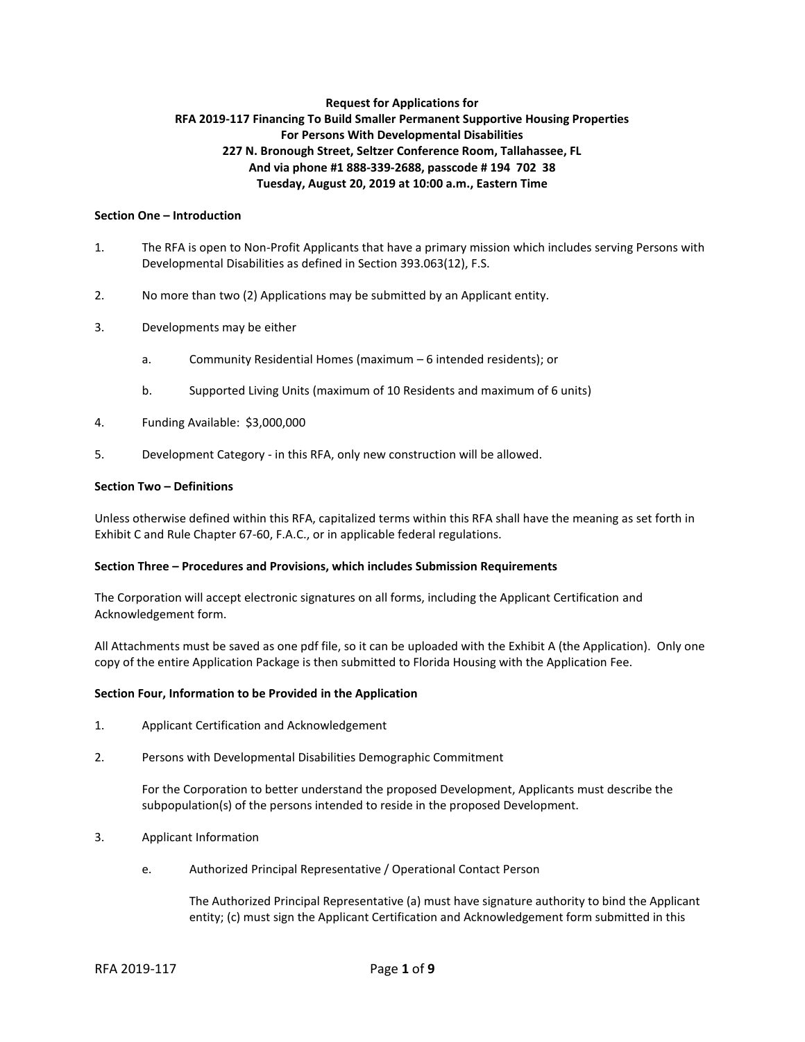# **Request for Applications for RFA 2019-117 Financing To Build Smaller Permanent Supportive Housing Properties For Persons With Developmental Disabilities 227 N. Bronough Street, Seltzer Conference Room, Tallahassee, FL And via phone #1 888-339-2688, passcode # 194 702 38 Tuesday, August 20, 2019 at 10:00 a.m., Eastern Time**

### **Section One – Introduction**

- 1. The RFA is open to Non-Profit Applicants that have a primary mission which includes serving Persons with Developmental Disabilities as defined in Section 393.063(12), F.S.
- 2. No more than two (2) Applications may be submitted by an Applicant entity.
- 3. Developments may be either
	- a. Community Residential Homes (maximum 6 intended residents); or
	- b. Supported Living Units (maximum of 10 Residents and maximum of 6 units)
- 4. Funding Available: \$3,000,000
- 5. Development Category in this RFA, only new construction will be allowed.

#### **Section Two – Definitions**

Unless otherwise defined within this RFA, capitalized terms within this RFA shall have the meaning as set forth in Exhibit C and Rule Chapter 67-60, F.A.C., or in applicable federal regulations.

#### **Section Three – Procedures and Provisions, which includes Submission Requirements**

The Corporation will accept electronic signatures on all forms, including the Applicant Certification and Acknowledgement form.

All Attachments must be saved as one pdf file, so it can be uploaded with the Exhibit A (the Application). Only one copy of the entire Application Package is then submitted to Florida Housing with the Application Fee.

#### **Section Four, Information to be Provided in the Application**

- 1. Applicant Certification and Acknowledgement
- 2. Persons with Developmental Disabilities Demographic Commitment

For the Corporation to better understand the proposed Development, Applicants must describe the subpopulation(s) of the persons intended to reside in the proposed Development.

- 3. Applicant Information
	- e. Authorized Principal Representative / Operational Contact Person

The Authorized Principal Representative (a) must have signature authority to bind the Applicant entity; (c) must sign the Applicant Certification and Acknowledgement form submitted in this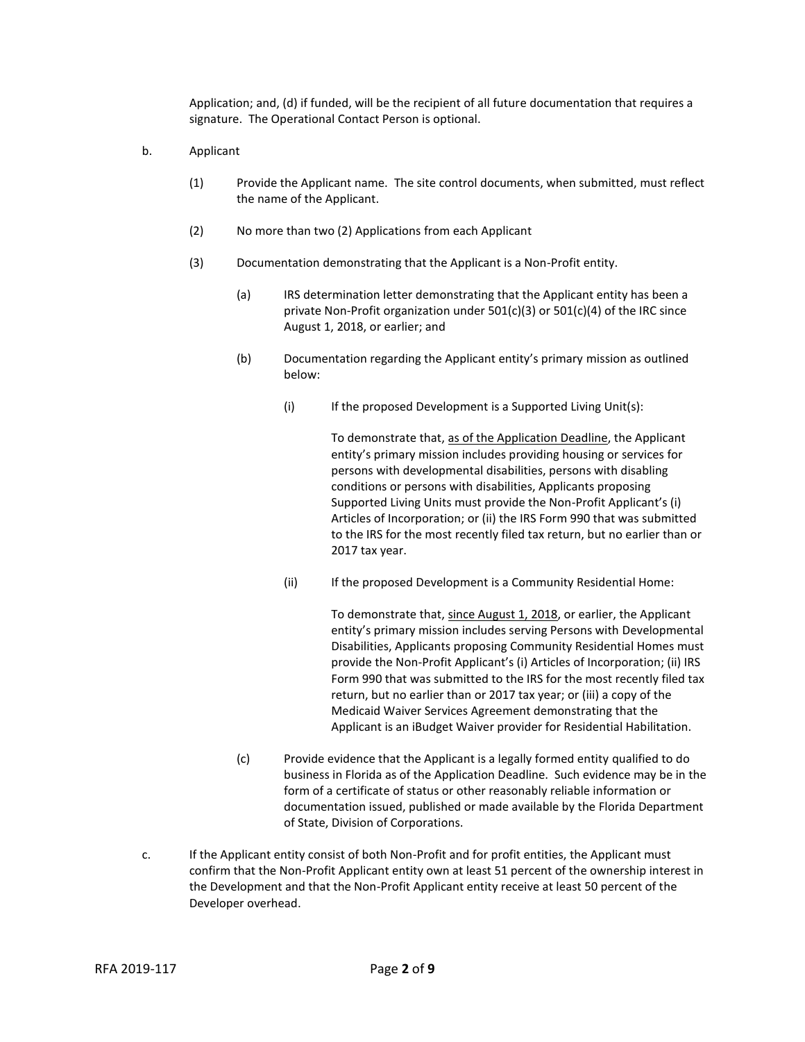Application; and, (d) if funded, will be the recipient of all future documentation that requires a signature. The Operational Contact Person is optional.

- b. Applicant
	- (1) Provide the Applicant name. The site control documents, when submitted, must reflect the name of the Applicant.
	- (2) No more than two (2) Applications from each Applicant
	- (3) Documentation demonstrating that the Applicant is a Non-Profit entity.
		- (a) IRS determination letter demonstrating that the Applicant entity has been a private Non-Profit organization under 501(c)(3) or 501(c)(4) of the IRC since August 1, 2018, or earlier; and
		- (b) Documentation regarding the Applicant entity's primary mission as outlined below:
			- (i) If the proposed Development is a Supported Living Unit(s):

To demonstrate that, as of the Application Deadline, the Applicant entity's primary mission includes providing housing or services for persons with developmental disabilities, persons with disabling conditions or persons with disabilities, Applicants proposing Supported Living Units must provide the Non-Profit Applicant's (i) Articles of Incorporation; or (ii) the IRS Form 990 that was submitted to the IRS for the most recently filed tax return, but no earlier than or 2017 tax year.

(ii) If the proposed Development is a Community Residential Home:

To demonstrate that, since August 1, 2018, or earlier, the Applicant entity's primary mission includes serving Persons with Developmental Disabilities, Applicants proposing Community Residential Homes must provide the Non-Profit Applicant's (i) Articles of Incorporation; (ii) IRS Form 990 that was submitted to the IRS for the most recently filed tax return, but no earlier than or 2017 tax year; or (iii) a copy of the Medicaid Waiver Services Agreement demonstrating that the Applicant is an iBudget Waiver provider for Residential Habilitation.

- (c) Provide evidence that the Applicant is a legally formed entity qualified to do business in Florida as of the Application Deadline. Such evidence may be in the form of a certificate of status or other reasonably reliable information or documentation issued, published or made available by the Florida Department of State, Division of Corporations.
- c. If the Applicant entity consist of both Non-Profit and for profit entities, the Applicant must confirm that the Non-Profit Applicant entity own at least 51 percent of the ownership interest in the Development and that the Non-Profit Applicant entity receive at least 50 percent of the Developer overhead.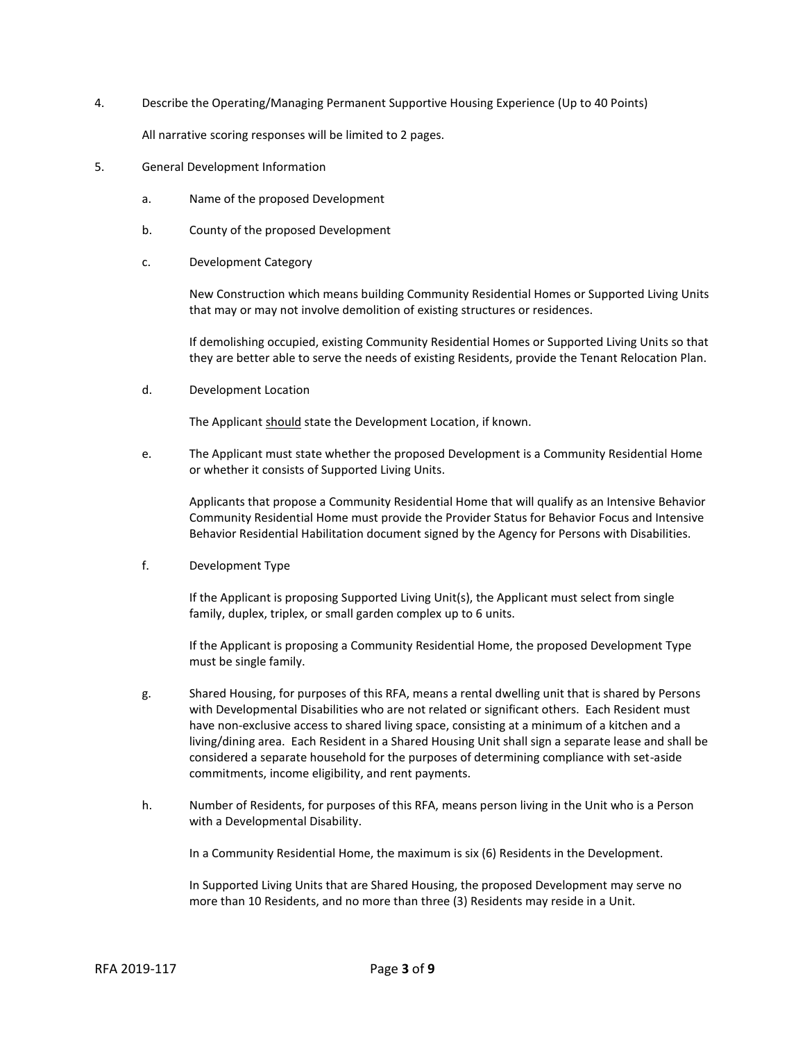4. Describe the Operating/Managing Permanent Supportive Housing Experience (Up to 40 Points)

All narrative scoring responses will be limited to 2 pages.

- 5. General Development Information
	- a. Name of the proposed Development
	- b. County of the proposed Development
	- c. Development Category

New Construction which means building Community Residential Homes or Supported Living Units that may or may not involve demolition of existing structures or residences.

If demolishing occupied, existing Community Residential Homes or Supported Living Units so that they are better able to serve the needs of existing Residents, provide the Tenant Relocation Plan.

d. Development Location

The Applicant should state the Development Location, if known.

e. The Applicant must state whether the proposed Development is a Community Residential Home or whether it consists of Supported Living Units.

Applicants that propose a Community Residential Home that will qualify as an Intensive Behavior Community Residential Home must provide the Provider Status for Behavior Focus and Intensive Behavior Residential Habilitation document signed by the Agency for Persons with Disabilities.

f. Development Type

If the Applicant is proposing Supported Living Unit(s), the Applicant must select from single family, duplex, triplex, or small garden complex up to 6 units.

If the Applicant is proposing a Community Residential Home, the proposed Development Type must be single family.

- g. Shared Housing, for purposes of this RFA, means a rental dwelling unit that is shared by Persons with Developmental Disabilities who are not related or significant others. Each Resident must have non-exclusive access to shared living space, consisting at a minimum of a kitchen and a living/dining area. Each Resident in a Shared Housing Unit shall sign a separate lease and shall be considered a separate household for the purposes of determining compliance with set-aside commitments, income eligibility, and rent payments.
- h. Number of Residents, for purposes of this RFA, means person living in the Unit who is a Person with a Developmental Disability.

In a Community Residential Home, the maximum is six (6) Residents in the Development.

In Supported Living Units that are Shared Housing, the proposed Development may serve no more than 10 Residents, and no more than three (3) Residents may reside in a Unit.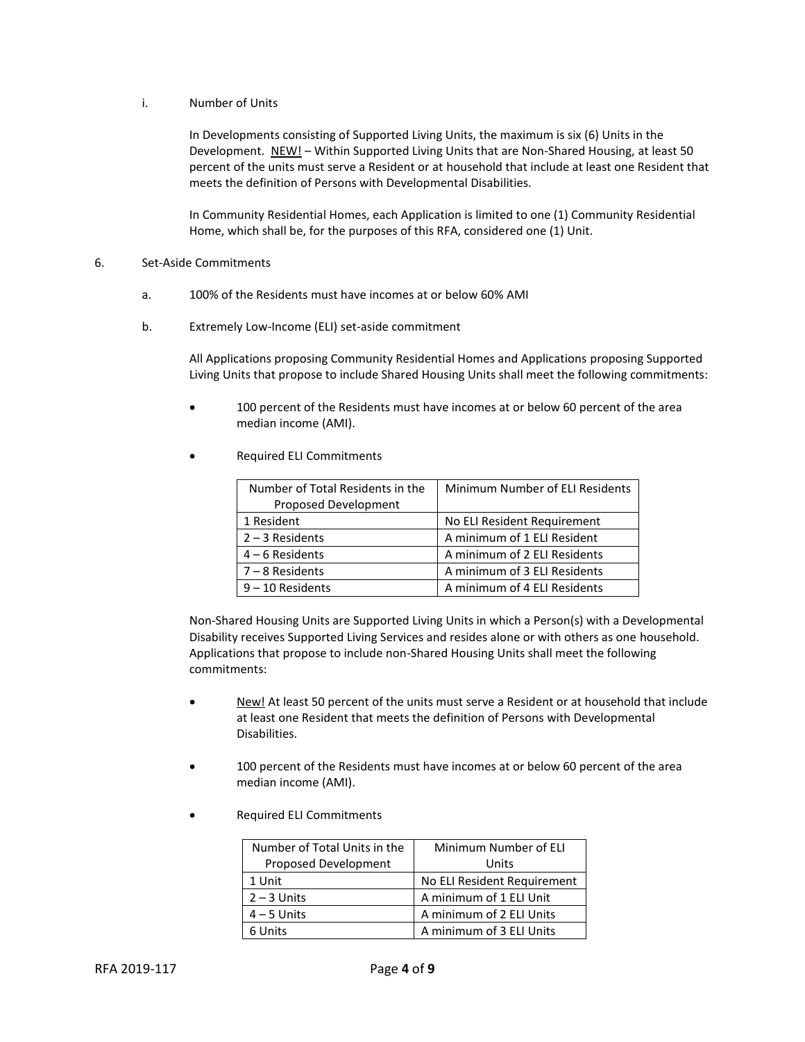## i. Number of Units

In Developments consisting of Supported Living Units, the maximum is six (6) Units in the Development. NEW! - Within Supported Living Units that are Non-Shared Housing, at least 50 percent of the units must serve a Resident or at household that include at least one Resident that meets the definition of Persons with Developmental Disabilities.

In Community Residential Homes, each Application is limited to one (1) Community Residential Home, which shall be, for the purposes of this RFA, considered one (1) Unit.

### 6. Set-Aside Commitments

- a. 100% of the Residents must have incomes at or below 60% AMI
- b. Extremely Low-Income (ELI) set-aside commitment

All Applications proposing Community Residential Homes and Applications proposing Supported Living Units that propose to include Shared Housing Units shall meet the following commitments:

- 100 percent of the Residents must have incomes at or below 60 percent of the area median income (AMI).
- Required ELI Commitments

| Number of Total Residents in the | Minimum Number of ELI Residents |
|----------------------------------|---------------------------------|
| Proposed Development             |                                 |
| 1 Resident                       | No ELI Resident Requirement     |
| $2 - 3$ Residents                | A minimum of 1 ELI Resident     |
| $4 - 6$ Residents                | A minimum of 2 ELI Residents    |
| $7 - 8$ Residents                | A minimum of 3 ELI Residents    |
| $9 - 10$ Residents               | A minimum of 4 ELI Residents    |

Non-Shared Housing Units are Supported Living Units in which a Person(s) with a Developmental Disability receives Supported Living Services and resides alone or with others as one household. Applications that propose to include non-Shared Housing Units shall meet the following commitments:

- New! At least 50 percent of the units must serve a Resident or at household that include at least one Resident that meets the definition of Persons with Developmental Disabilities.
- 100 percent of the Residents must have incomes at or below 60 percent of the area median income (AMI).
- Required ELI Commitments

| Number of Total Units in the | Minimum Number of ELI       |
|------------------------------|-----------------------------|
| Proposed Development         | Units                       |
| 1 Unit                       | No ELI Resident Requirement |
| $2 - 3$ Units                | A minimum of 1 ELI Unit     |
| $4 - 5$ Units                | A minimum of 2 ELI Units    |
| 6 Units                      | A minimum of 3 ELI Units    |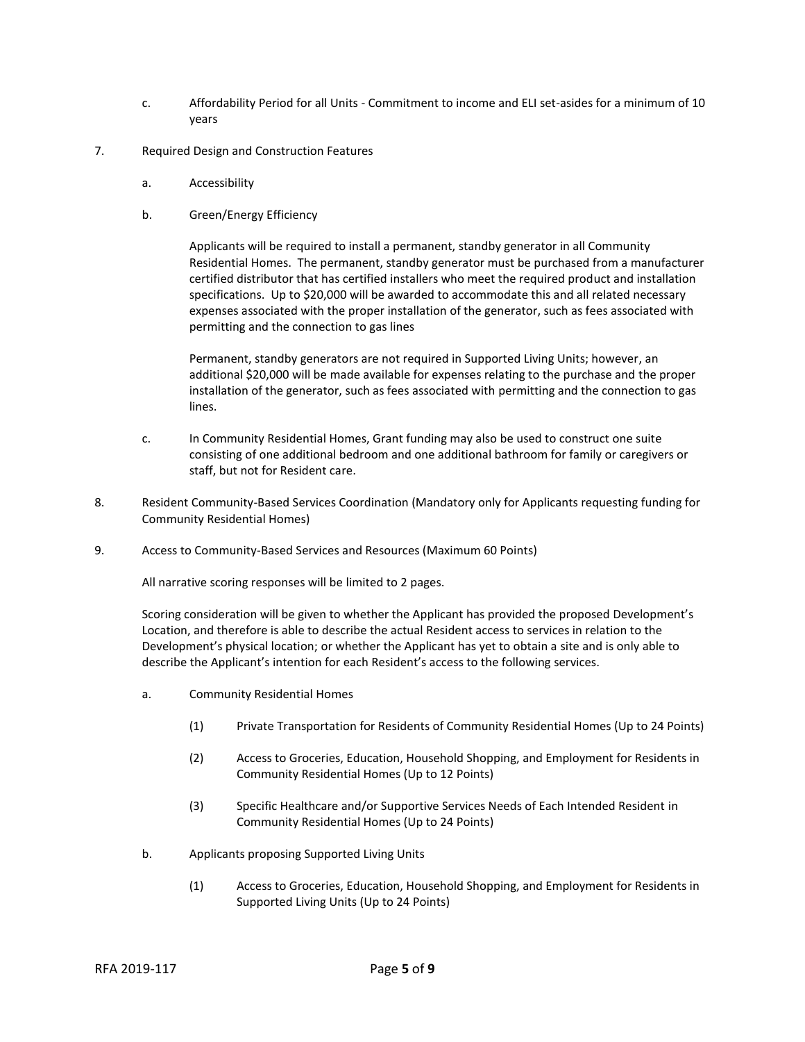- c. Affordability Period for all Units Commitment to income and ELI set-asides for a minimum of 10 years
- 7. Required Design and Construction Features
	- a. Accessibility
	- b. Green/Energy Efficiency

Applicants will be required to install a permanent, standby generator in all Community Residential Homes. The permanent, standby generator must be purchased from a manufacturer certified distributor that has certified installers who meet the required product and installation specifications. Up to \$20,000 will be awarded to accommodate this and all related necessary expenses associated with the proper installation of the generator, such as fees associated with permitting and the connection to gas lines

Permanent, standby generators are not required in Supported Living Units; however, an additional \$20,000 will be made available for expenses relating to the purchase and the proper installation of the generator, such as fees associated with permitting and the connection to gas lines.

- c. In Community Residential Homes, Grant funding may also be used to construct one suite consisting of one additional bedroom and one additional bathroom for family or caregivers or staff, but not for Resident care.
- 8. Resident Community-Based Services Coordination (Mandatory only for Applicants requesting funding for Community Residential Homes)
- 9. Access to Community-Based Services and Resources (Maximum 60 Points)

All narrative scoring responses will be limited to 2 pages.

Scoring consideration will be given to whether the Applicant has provided the proposed Development's Location, and therefore is able to describe the actual Resident access to services in relation to the Development's physical location; or whether the Applicant has yet to obtain a site and is only able to describe the Applicant's intention for each Resident's access to the following services.

- a. Community Residential Homes
	- (1) Private Transportation for Residents of Community Residential Homes (Up to 24 Points)
	- (2) Access to Groceries, Education, Household Shopping, and Employment for Residents in Community Residential Homes (Up to 12 Points)
	- (3) Specific Healthcare and/or Supportive Services Needs of Each Intended Resident in Community Residential Homes (Up to 24 Points)
- b. Applicants proposing Supported Living Units
	- (1) Access to Groceries, Education, Household Shopping, and Employment for Residents in Supported Living Units (Up to 24 Points)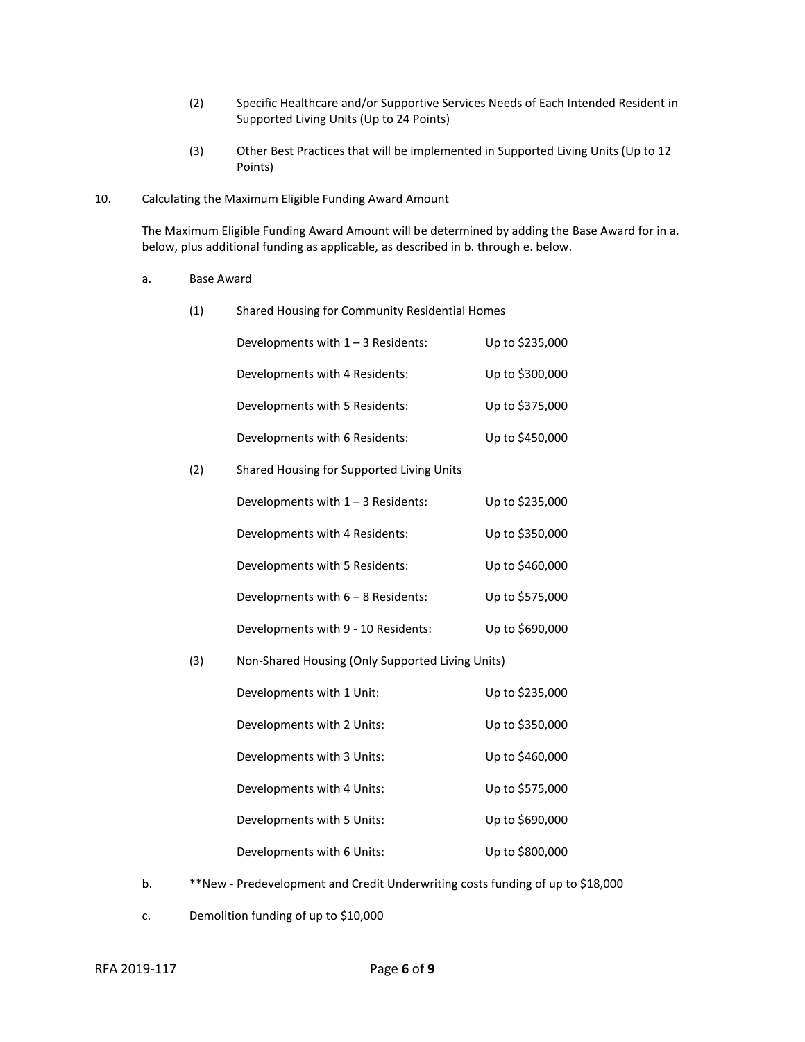- (2) Specific Healthcare and/or Supportive Services Needs of Each Intended Resident in Supported Living Units (Up to 24 Points)
- (3) Other Best Practices that will be implemented in Supported Living Units (Up to 12 Points)
- 10. Calculating the Maximum Eligible Funding Award Amount

The Maximum Eligible Funding Award Amount will be determined by adding the Base Award for in a. below, plus additional funding as applicable, as described in b. through e. below.

a. Base Award

| (1) | Shared Housing for Community Residential Homes   |                 |
|-----|--------------------------------------------------|-----------------|
|     | Developments with $1 - 3$ Residents:             | Up to \$235,000 |
|     | Developments with 4 Residents:                   | Up to \$300,000 |
|     | Developments with 5 Residents:                   | Up to \$375,000 |
|     | Developments with 6 Residents:                   | Up to \$450,000 |
| (2) | Shared Housing for Supported Living Units        |                 |
|     | Developments with 1 - 3 Residents:               | Up to \$235,000 |
|     | Developments with 4 Residents:                   | Up to \$350,000 |
|     | Developments with 5 Residents:                   | Up to \$460,000 |
|     | Developments with 6 - 8 Residents:               | Up to \$575,000 |
|     | Developments with 9 - 10 Residents:              | Up to \$690,000 |
| (3) | Non-Shared Housing (Only Supported Living Units) |                 |
|     | Developments with 1 Unit:                        | Up to \$235,000 |
|     | Developments with 2 Units:                       | Up to \$350,000 |
|     | Developments with 3 Units:                       | Up to \$460,000 |
|     | Developments with 4 Units:                       | Up to \$575,000 |
|     | Developments with 5 Units:                       | Up to \$690,000 |
|     | Developments with 6 Units:                       | Up to \$800,000 |

- b. \*\*New Predevelopment and Credit Underwriting costs funding of up to \$18,000
- c. Demolition funding of up to \$10,000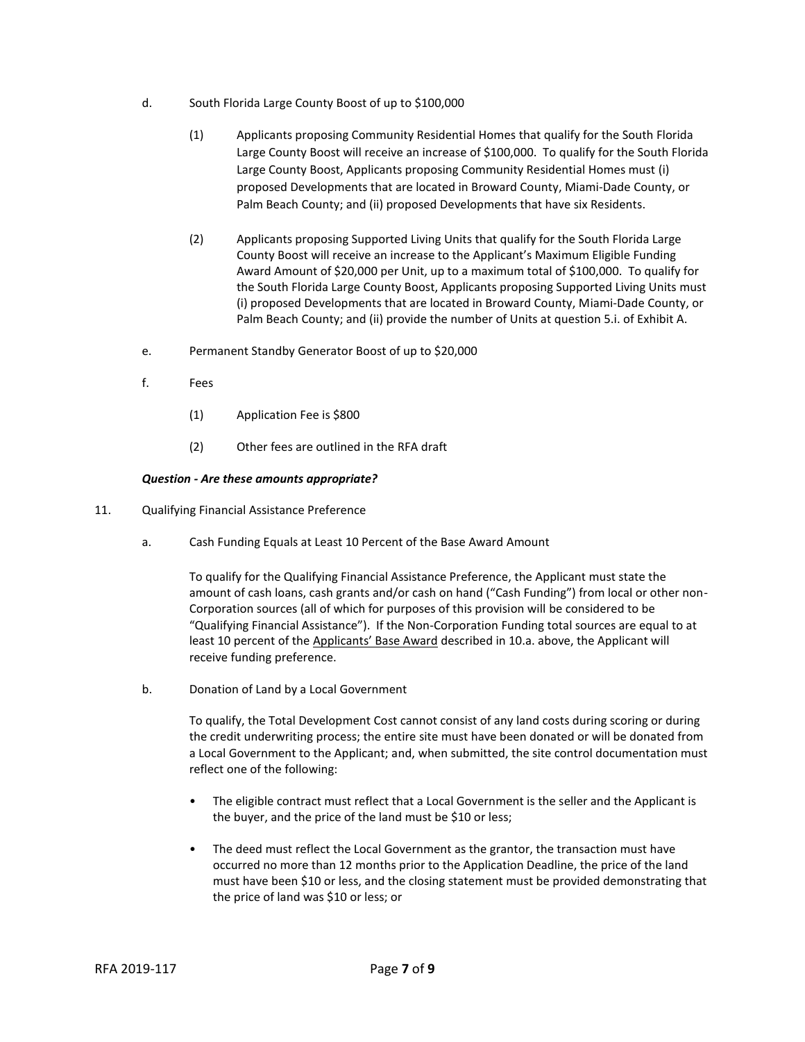- d. South Florida Large County Boost of up to \$100,000
	- (1) Applicants proposing Community Residential Homes that qualify for the South Florida Large County Boost will receive an increase of \$100,000. To qualify for the South Florida Large County Boost, Applicants proposing Community Residential Homes must (i) proposed Developments that are located in Broward County, Miami-Dade County, or Palm Beach County; and (ii) proposed Developments that have six Residents.
	- (2) Applicants proposing Supported Living Units that qualify for the South Florida Large County Boost will receive an increase to the Applicant's Maximum Eligible Funding Award Amount of \$20,000 per Unit, up to a maximum total of \$100,000. To qualify for the South Florida Large County Boost, Applicants proposing Supported Living Units must (i) proposed Developments that are located in Broward County, Miami-Dade County, or Palm Beach County; and (ii) provide the number of Units at question 5.i. of Exhibit A.
- e. Permanent Standby Generator Boost of up to \$20,000
- f. Fees
	- (1) Application Fee is \$800
	- (2) Other fees are outlined in the RFA draft

# *Question - Are these amounts appropriate?*

- 11. Qualifying Financial Assistance Preference
	- a. Cash Funding Equals at Least 10 Percent of the Base Award Amount

To qualify for the Qualifying Financial Assistance Preference, the Applicant must state the amount of cash loans, cash grants and/or cash on hand ("Cash Funding") from local or other non-Corporation sources (all of which for purposes of this provision will be considered to be "Qualifying Financial Assistance"). If the Non-Corporation Funding total sources are equal to at least 10 percent of the Applicants' Base Award described in 10.a. above, the Applicant will receive funding preference.

b. Donation of Land by a Local Government

To qualify, the Total Development Cost cannot consist of any land costs during scoring or during the credit underwriting process; the entire site must have been donated or will be donated from a Local Government to the Applicant; and, when submitted, the site control documentation must reflect one of the following:

- The eligible contract must reflect that a Local Government is the seller and the Applicant is the buyer, and the price of the land must be \$10 or less;
- The deed must reflect the Local Government as the grantor, the transaction must have occurred no more than 12 months prior to the Application Deadline, the price of the land must have been \$10 or less, and the closing statement must be provided demonstrating that the price of land was \$10 or less; or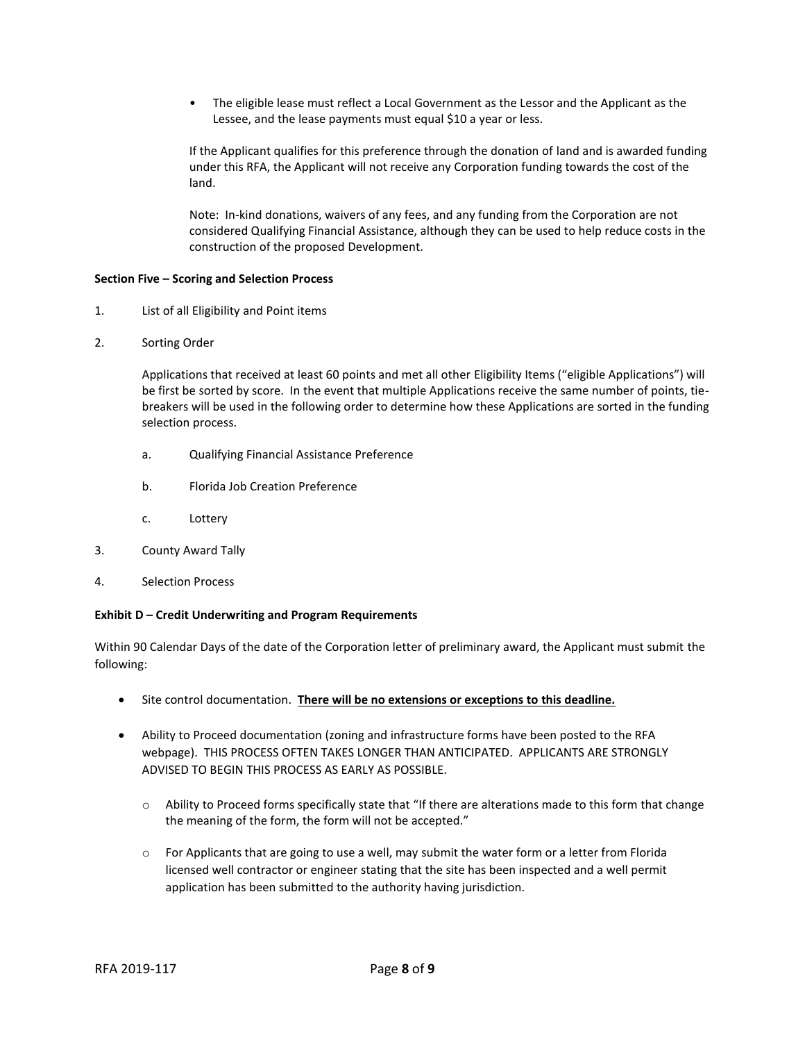• The eligible lease must reflect a Local Government as the Lessor and the Applicant as the Lessee, and the lease payments must equal \$10 a year or less.

If the Applicant qualifies for this preference through the donation of land and is awarded funding under this RFA, the Applicant will not receive any Corporation funding towards the cost of the land.

Note: In-kind donations, waivers of any fees, and any funding from the Corporation are not considered Qualifying Financial Assistance, although they can be used to help reduce costs in the construction of the proposed Development.

## **Section Five – Scoring and Selection Process**

- 1. List of all Eligibility and Point items
- 2. Sorting Order

Applications that received at least 60 points and met all other Eligibility Items ("eligible Applications") will be first be sorted by score. In the event that multiple Applications receive the same number of points, tiebreakers will be used in the following order to determine how these Applications are sorted in the funding selection process.

- a. Qualifying Financial Assistance Preference
- b. Florida Job Creation Preference
- c. Lottery
- 3. County Award Tally
- 4. Selection Process

## **Exhibit D – Credit Underwriting and Program Requirements**

Within 90 Calendar Days of the date of the Corporation letter of preliminary award, the Applicant must submit the following:

- Site control documentation. **There will be no extensions or exceptions to this deadline.**
- Ability to Proceed documentation (zoning and infrastructure forms have been posted to the RFA webpage). THIS PROCESS OFTEN TAKES LONGER THAN ANTICIPATED. APPLICANTS ARE STRONGLY ADVISED TO BEGIN THIS PROCESS AS EARLY AS POSSIBLE.
	- $\circ$  Ability to Proceed forms specifically state that "If there are alterations made to this form that change the meaning of the form, the form will not be accepted."
	- o For Applicants that are going to use a well, may submit the water form or a letter from Florida licensed well contractor or engineer stating that the site has been inspected and a well permit application has been submitted to the authority having jurisdiction.